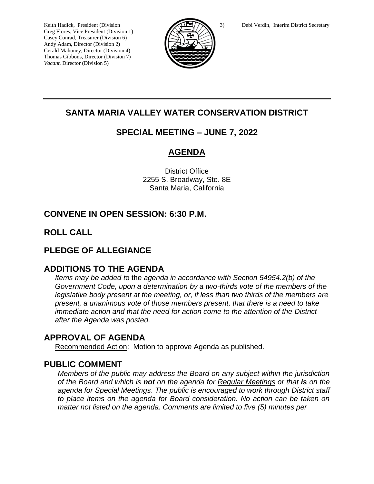Greg Flores, Vice President (Division 1) Casey Conrad, Treasurer (Division 6) Andy Adam, Director (Division 2) Gerald Mahoney, Director (Division 4) Thomas Gibbons, Director (Division 7) *Vacant,* Director (Division 5)



# **SANTA MARIA VALLEY WATER CONSERVATION DISTRICT**

# **SPECIAL MEETING – JUNE 7, 2022**

# **AGENDA**

District Office 2255 S. Broadway, Ste. 8E Santa Maria, California

# **CONVENE IN OPEN SESSION: 6:30 P.M.**

# **ROLL CALL**

## **PLEDGE OF ALLEGIANCE**

### **ADDITIONS TO THE AGENDA**

*Items may be added t*o the *agenda in accordance with Section 54954.2(b) of the Government Code, upon a determination by a two-thirds vote of the members of the legislative body present at the meeting, or, if less than two thirds of the members are present, a unanimous vote of those members present, that there is a need to take immediate action and that the need for action come to the attention of the District after the Agenda was posted.* 

## **APPROVAL OF AGENDA**

Recommended Action: Motion to approve Agenda as published.

### **PUBLIC COMMENT**

*Members of the public may address the Board on any subject within the jurisdiction of the Board and which is not on the agenda for Regular Meetings or that is on the agenda for Special Meetings*. *The public is encouraged to work through District staff to place items on the agenda for Board consideration. No action can be taken on matter not listed on the agenda. Comments are limited to five (5) minutes per*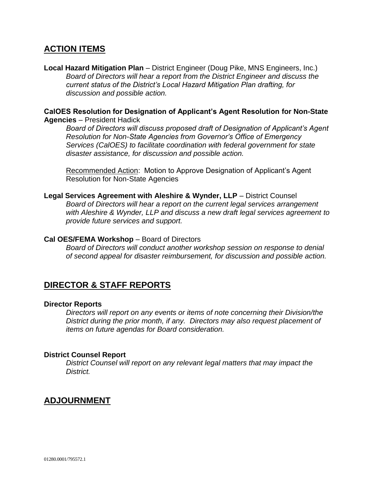## **ACTION ITEMS**

**Local Hazard Mitigation Plan** – District Engineer (Doug Pike, MNS Engineers, Inc.) *Board of Directors will hear a report from the District Engineer and discuss the current status of the District's Local Hazard Mitigation Plan drafting, for discussion and possible action.*

### **CalOES Resolution for Designation of Applicant's Agent Resolution for Non-State Agencies** – President Hadick

*Board of Directors will discuss proposed draft of Designation of Applicant's Agent Resolution for Non-State Agencies from Governor's Office of Emergency Services (CalOES) to facilitate coordination with federal government for state disaster assistance, for discussion and possible action.*

Recommended Action: Motion to Approve Designation of Applicant's Agent Resolution for Non-State Agencies

**Legal Services Agreement with Aleshire & Wynder, LLP** – District Counsel *Board of Directors will hear a report on the current legal services arrangement with Aleshire & Wynder, LLP and discuss a new draft legal services agreement to provide future services and support.*

### **Cal OES/FEMA Workshop** – Board of Directors

*Board of Directors will conduct another workshop session on response to denial of second appeal for disaster reimbursement, for discussion and possible action.*

## **DIRECTOR & STAFF REPORTS**

#### **Director Reports**

*Directors will report on any events or items of note concerning their Division/the District during the prior month, if any. Directors may also request placement of items on future agendas for Board consideration.*

#### **District Counsel Report**

*District Counsel will report on any relevant legal matters that may impact the District.*

## **ADJOURNMENT**